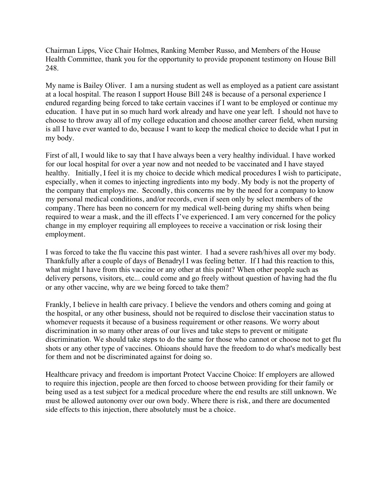Chairman Lipps, Vice Chair Holmes, Ranking Member Russo, and Members of the House Health Committee, thank you for the opportunity to provide proponent testimony on House Bill 248.

My name is Bailey Oliver. I am a nursing student as well as employed as a patient care assistant at a local hospital. The reason I support House Bill 248 is because of a personal experience I endured regarding being forced to take certain vaccines if I want to be employed or continue my education. I have put in so much hard work already and have one year left. I should not have to choose to throw away all of my college education and choose another career field, when nursing is all I have ever wanted to do, because I want to keep the medical choice to decide what I put in my body.

First of all, I would like to say that I have always been a very healthy individual. I have worked for our local hospital for over a year now and not needed to be vaccinated and I have stayed healthy. Initially, I feel it is my choice to decide which medical procedures I wish to participate, especially, when it comes to injecting ingredients into my body. My body is not the property of the company that employs me. Secondly, this concerns me by the need for a company to know my personal medical conditions, and/or records, even if seen only by select members of the company. There has been no concern for my medical well-being during my shifts when being required to wear a mask, and the ill effects I've experienced. I am very concerned for the policy change in my employer requiring all employees to receive a vaccination or risk losing their employment.

I was forced to take the flu vaccine this past winter. I had a severe rash/hives all over my body. Thankfully after a couple of days of Benadryl I was feeling better. If I had this reaction to this, what might I have from this vaccine or any other at this point? When other people such as delivery persons, visitors, etc... could come and go freely without question of having had the flu or any other vaccine, why are we being forced to take them?

Frankly, I believe in health care privacy. I believe the vendors and others coming and going at the hospital, or any other business, should not be required to disclose their vaccination status to whomever requests it because of a business requirement or other reasons. We worry about discrimination in so many other areas of our lives and take steps to prevent or mitigate discrimination. We should take steps to do the same for those who cannot or choose not to get flu shots or any other type of vaccines. Ohioans should have the freedom to do what's medically best for them and not be discriminated against for doing so.

Healthcare privacy and freedom is important Protect Vaccine Choice: If employers are allowed to require this injection, people are then forced to choose between providing for their family or being used as a test subject for a medical procedure where the end results are still unknown. We must be allowed autonomy over our own body. Where there is risk, and there are documented side effects to this injection, there absolutely must be a choice.